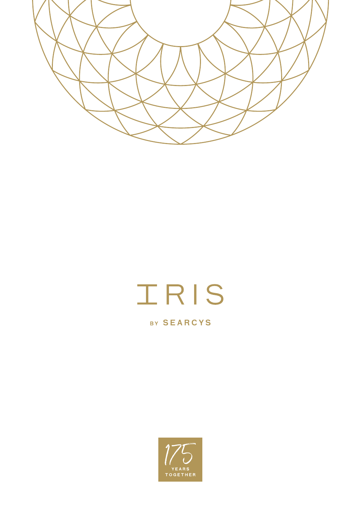

# IRIS

BY SEARCYS

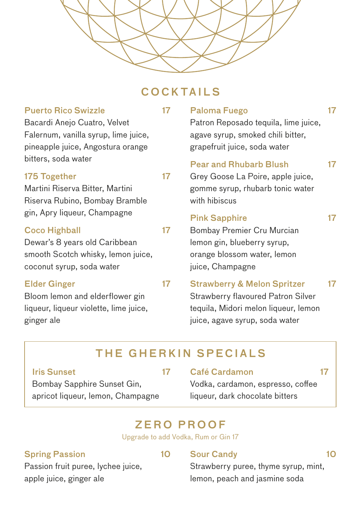

# COCKTAILS

| <b>Puerto Rico Swizzle</b><br>Bacardi Anejo Cuatro, Velvet<br>Falernum, vanilla syrup, lime juice,<br>pineapple juice, Angostura orange                  | 17 | <b>Paloma Fuego</b><br>Patron Reposado tequila, lime juice,<br>agave syrup, smoked chili bitter,<br>grapefruit juice, soda water                       | 17 |
|----------------------------------------------------------------------------------------------------------------------------------------------------------|----|--------------------------------------------------------------------------------------------------------------------------------------------------------|----|
| bitters, soda water<br>175 Together<br>Martini Riserva Bitter, Martini<br>Riserva Rubino, Bombay Bramble                                                 | 17 | <b>Pear and Rhubarb Blush</b><br>Grey Goose La Poire, apple juice,<br>gomme syrup, rhubarb tonic water<br>with hibiscus                                | 17 |
| gin, Apry liqueur, Champagne<br><b>Coco Highball</b><br>Dewar's 8 years old Caribbean<br>smooth Scotch whisky, lemon juice,<br>coconut syrup, soda water | 17 | <b>Pink Sapphire</b><br>Bombay Premier Cru Murcian<br>lemon gin, blueberry syrup,<br>orange blossom water, lemon<br>juice, Champagne                   | 17 |
| <b>Elder Ginger</b><br>Bloom lemon and elderflower gin<br>liqueur, liqueur violette, lime juice,<br>ginger ale                                           | 17 | <b>Strawberry &amp; Melon Spritzer</b><br>Strawberry flavoured Patron Silver<br>tequila, Midori melon liqueur, lemon<br>juice, agave syrup, soda water | 17 |

# THE GHERKIN SPECIALS

#### Iris Sunset 17

Bombay Sapphire Sunset Gin, apricot liqueur, lemon, Champagne

#### Café Cardamon 17

Vodka, cardamon, espresso, coffee liqueur, dark chocolate bitters

# ZERO PROOF

Upgrade to add Vodka, Rum or Gin 17

#### Spring Passion 10

Sour Candy 10

Passion fruit puree, lychee juice, apple juice, ginger ale

### Strawberry puree, thyme syrup, mint, lemon, peach and jasmine soda